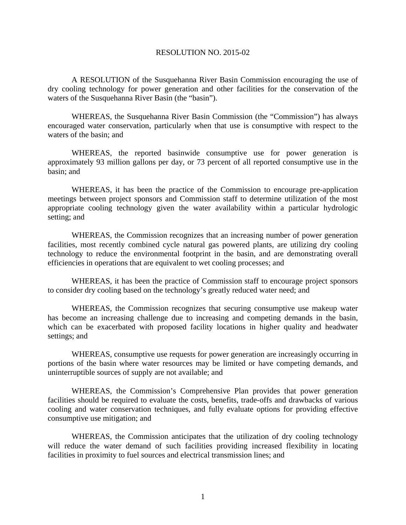## RESOLUTION NO. 2015-02

 A RESOLUTION of the Susquehanna River Basin Commission encouraging the use of dry cooling technology for power generation and other facilities for the conservation of the waters of the Susquehanna River Basin (the "basin").

WHEREAS, the Susquehanna River Basin Commission (the "Commission") has always encouraged water conservation, particularly when that use is consumptive with respect to the waters of the basin; and

WHEREAS, the reported basinwide consumptive use for power generation is approximately 93 million gallons per day, or 73 percent of all reported consumptive use in the basin; and

WHEREAS, it has been the practice of the Commission to encourage pre-application meetings between project sponsors and Commission staff to determine utilization of the most appropriate cooling technology given the water availability within a particular hydrologic setting; and

WHEREAS, the Commission recognizes that an increasing number of power generation facilities, most recently combined cycle natural gas powered plants, are utilizing dry cooling technology to reduce the environmental footprint in the basin, and are demonstrating overall efficiencies in operations that are equivalent to wet cooling processes; and

WHEREAS, it has been the practice of Commission staff to encourage project sponsors to consider dry cooling based on the technology's greatly reduced water need; and

 WHEREAS, the Commission recognizes that securing consumptive use makeup water has become an increasing challenge due to increasing and competing demands in the basin, which can be exacerbated with proposed facility locations in higher quality and headwater settings; and

 WHEREAS, consumptive use requests for power generation are increasingly occurring in portions of the basin where water resources may be limited or have competing demands, and uninterruptible sources of supply are not available; and

 WHEREAS, the Commission's Comprehensive Plan provides that power generation facilities should be required to evaluate the costs, benefits, trade-offs and drawbacks of various cooling and water conservation techniques, and fully evaluate options for providing effective consumptive use mitigation; and

 WHEREAS, the Commission anticipates that the utilization of dry cooling technology will reduce the water demand of such facilities providing increased flexibility in locating facilities in proximity to fuel sources and electrical transmission lines; and